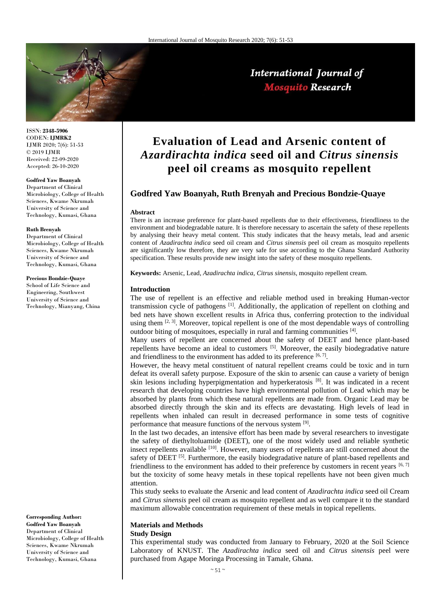

#### ISSN: **2348-5906** CODEN: **IJMRK2** IJMR 2020; 7(6): 51-53 © 2019 IJMR Received: 22-09-2020 Accepted: 26-10-2020

### **Godfred Yaw Boanyah**

Department of Clinical Microbiology, College of Health Sciences, Kwame Nkrumah University of Science and Technology, Kumasi, Ghana

#### **Ruth Brenyah**

Department of Clinical Microbiology, College of Health Sciences, Kwame Nkrumah University of Science and Technology, Kumasi, Ghana

#### **Precious Bondzie-Quaye**

School of Life Science and Engineering, Southwest University of Science and Technology, Mianyang, China

**Corresponding Author: Godfred Yaw Boanyah** Department of Clinical Microbiology, College of Health Sciences, Kwame Nkrumah University of Science and Technology, Kumasi, Ghana

# **Evaluation of Lead and Arsenic content of**  *Azardirachta indica* **seed oil and** *Citrus sinensis* **peel oil creams as mosquito repellent**

International Journal of **Mosquito Research** 

# **Godfred Yaw Boanyah, Ruth Brenyah and Precious Bondzie-Quaye**

#### **Abstract**

There is an increase preference for plant-based repellents due to their effectiveness, friendliness to the environment and biodegradable nature. It is therefore necessary to ascertain the safety of these repellents by analysing their heavy metal content. This study indicates that the heavy metals, lead and arsenic content of *Azadirachta indica* seed oil cream and *Citrus sinensis* peel oil cream as mosquito repellents are significantly low therefore, they are very safe for use according to the Ghana Standard Authority specification. These results provide new insight into the safety of these mosquito repellents.

**Keywords:** Arsenic, Lead, *Azadirachta indica*, *Citrus sinensis*, mosquito repellent cream.

#### **Introduction**

The use of repellent is an effective and reliable method used in breaking Human-vector transmission cycle of pathogens [1]. Additionally, the application of repellent on clothing and bed nets have shown excellent results in Africa thus, conferring protection to the individual using them  $[2, 3]$ . Moreover, topical repellent is one of the most dependable ways of controlling outdoor biting of mosquitoes, especially in rural and farming communities [4].

Many users of repellent are concerned about the safety of DEET and hence plant-based repellents have become an ideal to customers [5]. Moreover, the easily biodegradative nature and friendliness to the environment has added to its preference  $[6, 7]$ .

However, the heavy metal constituent of natural repellent creams could be toxic and in turn defeat its overall safety purpose. Exposure of the skin to arsenic can cause a variety of benign skin lesions including hyperpigmentation and hyperkeratosis <sup>[8]</sup>. It was indicated in a recent research that developing countries have high environmental pollution of Lead which may be absorbed by plants from which these natural repellents are made from. Organic Lead may be absorbed directly through the skin and its effects are devastating. High levels of lead in repellents when inhaled can result in decreased performance in some tests of cognitive performance that measure functions of the nervous system [9].

In the last two decades, an intensive effort has been made by several researchers to investigate the safety of diethyltoluamide (DEET), one of the most widely used and reliable synthetic insect repellents available [10]. However, many users of repellents are still concerned about the safety of DEET  $[5]$ . Furthermore, the easily biodegradative nature of plant-based repellents and friendliness to the environment has added to their preference by customers in recent years  $[6, 7]$ but the toxicity of some heavy metals in these topical repellents have not been given much attention.

This study seeks to evaluate the Arsenic and lead content of *Azadirachta indica* seed oil Cream and *Citrus sinensis* peel oil cream as mosquito repellent and as well compare it to the standard maximum allowable concentration requirement of these metals in topical repellents.

#### **Materials and Methods Study Design**

This experimental study was conducted from January to February, 2020 at the Soil Science Laboratory of KNUST. The *Azadirachta indica* seed oil and *Citrus sinensis* peel were purchased from Agape Moringa Processing in Tamale, Ghana.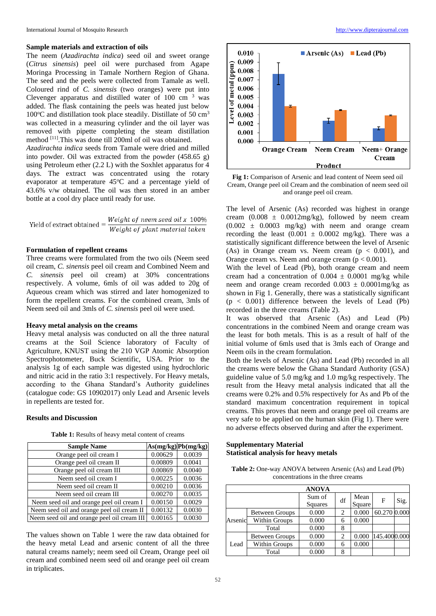#### **Sample materials and extraction of oils**

The neem (*Azadirachta indica*) seed oil and sweet orange (*Citrus sinensis*) peel oil were purchased from Agape Moringa Processing in Tamale Northern Region of Ghana. The seed and the peels were collected from Tamale as well. Coloured rind of *C. sinensis* (two oranges) were put into Clevenger apparatus and distilled water of  $100 \text{ cm}^{-3}$  was added. The flask containing the peels was heated just below  $100^{\circ}$ C and distillation took place steadily. Distillate of 50 cm<sup>3</sup> was collected in a measuring cylinder and the oil layer was removed with pipette completing the steam distillation method <sup>[11]</sup>.This was done till 200ml of oil was obtained. *Azadirachta indica* seeds from Tamale were dried and milled into powder. Oil was extracted from the powder (458.65 g) using Petroleum ether (2.2 L) with the Soxhlet apparatus for 4 days. The extract was concentrated using the rotary

evaporator at temperature 45°C and a percentage yield of 43.6% v/w obtained. The oil was then stored in an amber bottle at a cool dry place until ready for use.

Weight of neem seed oil  $x$  100% Yield of extract obtained =  $\frac{Weight\ of\ neem\ seed\ oil\ x\ 100\%}{Weight\ of\ plant\ material\ taken}$ 

## **Formulation of repellent creams**

Three creams were formulated from the two oils (Neem seed oil cream, *C. sinensis* peel oil cream and Combined Neem and *C. sinensis* peel oil cream) at 30% concentrations respectively. A volume, 6mls of oil was added to 20g of Aqueous cream which was stirred and later homogenized to form the repellent creams. For the combined cream, 3mls of Neem seed oil and 3mls of *C. sinensis* peel oil were used.

# **Heavy metal analysis on the creams**

Heavy metal analysis was conducted on all the three natural creams at the Soil Science laboratory of Faculty of Agriculture, KNUST using the 210 VGP Atomic Absorption Spectrophotometer, Buck Scientific, USA. Prior to the analysis 1g of each sample was digested using hydrochloric and nitric acid in the ratio 3:1 respectively. For Heavy metals, according to the Ghana Standard's Authority guidelines (catalogue code: GS 10902017) only Lead and Arsenic levels in repellents are tested for.

#### **Results and Discussion**

| <b>Sample Name</b>                          |         | $As(mg/kg)$ Pb $(mg/kg)$ |
|---------------------------------------------|---------|--------------------------|
| Orange peel oil cream I                     | 0.00629 | 0.0039                   |
| Orange peel oil cream II                    | 0.00809 | 0.0041                   |
| Orange peel oil cream III                   | 0.00869 | 0.0040                   |
| Neem seed oil cream I                       | 0.00225 | 0.0036                   |
| Neem seed oil cream II                      | 0.00210 | 0.0036                   |
| Neem seed oil cream III                     | 0.00270 | 0.0035                   |
| Neem seed oil and orange peel oil cream I   | 0.00150 | 0.0029                   |
| Neem seed oil and orange peel oil cream II  | 0.00132 | 0.0030                   |
| Neem seed oil and orange peel oil cream III | 0.00165 | 0.0030                   |

**Table 1:** Results of heavy metal content of creams

The values shown on Table 1 were the raw data obtained for the heavy metal Lead and arsenic content of all the three natural creams namely; neem seed oil Cream, Orange peel oil cream and combined neem seed oil and orange peel oil cream in triplicates.



**Fig 1:** Comparison of Arsenic and lead content of Neem seed oil Cream, Orange peel oil Cream and the combination of neem seed oil and orange peel oil cream.

The level of Arsenic (As) recorded was highest in orange cream  $(0.008 \pm 0.0012 \text{mg/kg})$ , followed by neem cream  $(0.002 \pm 0.0003 \text{ mg/kg})$  with neem and orange cream recording the least  $(0.001 \pm 0.0002 \text{ mg/kg})$ . There was a statistically significant difference between the level of Arsenic (As) in Orange cream vs. Neem cream  $(p < 0.001)$ , and Orange cream vs. Neem and orange cream  $(p < 0.001)$ .

With the level of Lead (Pb), both orange cream and neem cream had a concentration of  $0.004 \pm 0.0001$  mg/kg while neem and orange cream recorded  $0.003 \pm 0.0001$  mg/kg as shown in Fig 1. Generally, there was a statistically significant  $(p < 0.001)$  difference between the levels of Lead (Pb) recorded in the three creams (Table 2).

It was observed that Arsenic (As) and Lead (Pb) concentrations in the combined Neem and orange cream was the least for both metals. This is as a result of half of the initial volume of 6mls used that is 3mls each of Orange and Neem oils in the cream formulation.

Both the levels of Arsenic (As) and Lead (Pb) recorded in all the creams were below the Ghana Standard Authority (GSA) guideline value of 5.0 mg/kg and 1.0 mg/kg respectively. The result from the Heavy metal analysis indicated that all the creams were 0.2% and 0.5% respectively for As and Pb of the standard maximum concentration requirement in topical creams. This proves that neem and orange peel oil creams are very safe to be applied on the human skin (Fig 1). There were no adverse effects observed during and after the experiment.

# **Supplementary Material Statistical analysis for heavy metals**

**Table 2:** One-way ANOVA between Arsenic (As) and Lead (Pb) concentrations in the three creams

|         |                       | <b>ANOVA</b>      |    |                |              |      |
|---------|-----------------------|-------------------|----|----------------|--------------|------|
|         |                       | Sum of<br>Squares | df | Mean<br>Square | F            | Sig. |
|         | <b>Between Groups</b> | 0.000             | 2  | 0.000          | 60.270 0.000 |      |
| Arsenic | <b>Within Groups</b>  | 0.000             | 6  | 0.000          |              |      |
|         | Total                 | 0.000             | 8  |                |              |      |
| Lead    | <b>Between Groups</b> | 0.000             | 2  | 0.000          | 145.4000.000 |      |
|         | Within Groups         | 0.000             | 6  | 0.000          |              |      |
|         | Total                 | 0.000             | 8  |                |              |      |